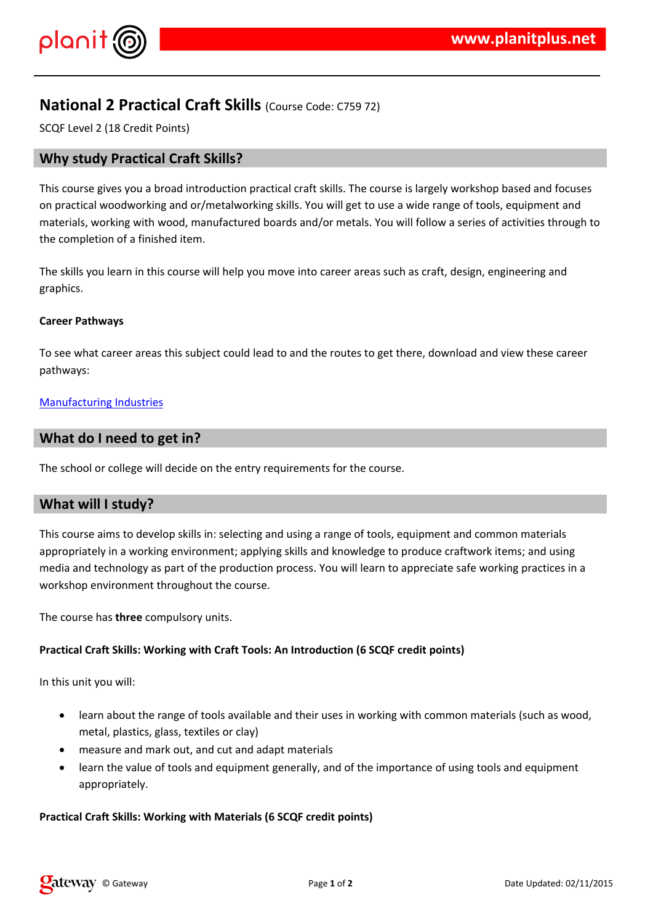$\frac{1}{2}$  # \$ % % &

 $(1\%)$  1 %  $1\%$  1 %  $(1\%)$  1 %  $(2\%)$  1 %  $(3\%)$  1 %  $(4\%)$  1 %  $(5\%)$  1 %  $(6\%)$  1 %  $(7\%)$  1  $(7\%)$  1  $(7\%)$  1  $(7\%)$  1  $(7\%)$  1  $(7\%)$  1  $(7\%)$  1  $(7\%)$  1  $(7\%)$  1  $(7\%)$  1  $(7\%)$  1  $(7\%)$  1  $(7\%)$  1  $(7\%)$  1  $(7\%)$  1  $+$  % & / % & ) \* & - #, . % # # # 4 % () %(" 9  $\%$  # /  $( ) - # % & % & % & % & ( )$ 

 $($  +%## # & %& (% -)"%&) %## (# )( / % & /%& %&  $($  %),

 $\sqrt{2}$ 

 $28$  ) % $838$  %

 $'$  ( ) ( # ) ##  $\frac{6}{4}$  +  $\frac{4}{5}$  +  $\frac{4}{5}$  +  $\frac{4}{5}$  +  $\frac{4}{5}$  +  $\frac{4}{5}$  +  $\frac{4}{5}$  +  $\frac{4}{5}$  +  $\frac{4}{5}$  +  $\frac{4}{5}$  +  $\frac{4}{5}$  +  $\frac{4}{5}$  +  $\frac{4}{5}$  +  $\frac{4}{5}$  +  $\frac{4}{5}$  +  $\frac{4}{5}$  +  $\frac{4}{5}$  +

 $1(% )$  % $1#$   $1/2$   $1/2$   $1/2$   $1/2$   $1/2$   $1/2$   $1/2$   $1/2$   $1/2$   $1/2$   $1/2$   $1/2$   $1/2$   $1/2$   $1/2$   $1/2$   $1/2$   $1/2$   $1/2$   $1/2$   $1/2$   $1/2$   $1/2$   $1/2$   $1/2$   $1/2$   $1/2$   $1/2$   $1/2$   $1/2$   $1/2$   $1/2$   $1/2$   $1/2$   $1/2$ # % & & "%+ % & & 4 # & % & & + # % # # ) + % & - 4 % &  $\%$  $(8 +$  ( ) % & ) % # # & ) % + % &  $-$  % &  $+$  (  $8''\%$   $8 - 8$  ( ( ( )  $\overline{\phantom{a}}$ 

 $'()$  ( ) - # & %,

 $\frac{1}{2}$  # \$ %

3 & (% & % # #

8c "%# \*# (%% %& +%&% ≬ -- &- %# )(  $8^*$  (  $#$  $# /$  # %) / # ) # 5 % #  $\omega_{\rm{max}}$ 

 $-$  % #  $8 + 8$ )  $8$ 

&( " # # \$ % & - & & # \ # \ ( % - & ) % & & \ + 0 % - &  $#$  $%$  #,

8 !" #\$ %